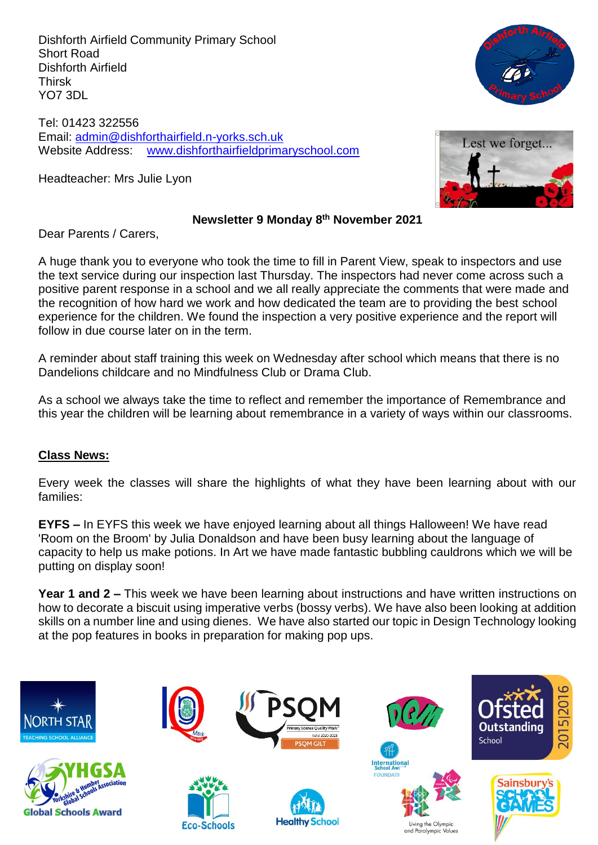Dishforth Airfield Community Primary School Short Road Dishforth Airfield Thirsk YO7 3DL

Tel: 01423 322556 Email: [admin@dishforthairfield.n-yorks.sch.uk](mailto:admin@dishforthairfield.n-yorks.sch.uk) Website Address: [www.dishforthairfieldprimaryschool.com](http://www.dishforthairfieldprimaryschool.com/)

Headteacher: Mrs Julie Lyon





### **Newsletter 9 Monday 8 th November 2021**

Dear Parents / Carers,

A huge thank you to everyone who took the time to fill in Parent View, speak to inspectors and use the text service during our inspection last Thursday. The inspectors had never come across such a positive parent response in a school and we all really appreciate the comments that were made and the recognition of how hard we work and how dedicated the team are to providing the best school experience for the children. We found the inspection a very positive experience and the report will follow in due course later on in the term.

A reminder about staff training this week on Wednesday after school which means that there is no Dandelions childcare and no Mindfulness Club or Drama Club.

As a school we always take the time to reflect and remember the importance of Remembrance and this year the children will be learning about remembrance in a variety of ways within our classrooms.

## **Class News:**

Every week the classes will share the highlights of what they have been learning about with our families:

**EYFS –** In EYFS this week we have enjoyed learning about all things Halloween! We have read 'Room on the Broom' by Julia Donaldson and have been busy learning about the language of capacity to help us make potions. In Art we have made fantastic bubbling cauldrons which we will be putting on display soon!

**Year 1 and 2 –** This week we have been learning about instructions and have written instructions on how to decorate a biscuit using imperative verbs (bossy verbs). We have also been looking at addition skills on a number line and using dienes. We have also started our topic in Design Technology looking at the pop features in books in preparation for making pop ups.

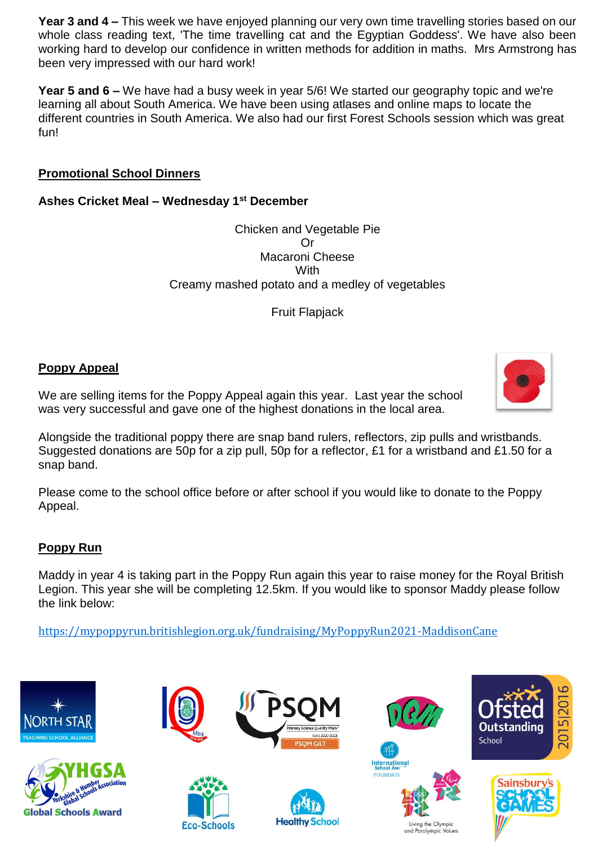**Year 3 and 4 –** This week we have enjoyed planning our very own time travelling stories based on our whole class reading text, 'The time travelling cat and the Egyptian Goddess'. We have also been working hard to develop our confidence in written methods for addition in maths. Mrs Armstrong has been very impressed with our hard work!

**Year 5 and 6 –** We have had a busy week in year 5/6! We started our geography topic and we're learning all about South America. We have been using atlases and online maps to locate the different countries in South America. We also had our first Forest Schools session which was great fun!

# **Promotional School Dinners**

# **Ashes Cricket Meal – Wednesday 1st December**

Chicken and Vegetable Pie Or Macaroni Cheese **With** Creamy mashed potato and a medley of vegetables

Fruit Flapjack

## **Poppy Appeal**

We are selling items for the Poppy Appeal again this year. Last year the school was very successful and gave one of the highest donations in the local area.

Alongside the traditional poppy there are snap band rulers, reflectors, zip pulls and wristbands. Suggested donations are 50p for a zip pull, 50p for a reflector, £1 for a wristband and £1.50 for a snap band.

Please come to the school office before or after school if you would like to donate to the Poppy Appeal.

# **Poppy Run**

Maddy in year 4 is taking part in the Poppy Run again this year to raise money for the Royal British Legion. This year she will be completing 12.5km. If you would like to sponsor Maddy please follow the link below:

<https://mypoppyrun.britishlegion.org.uk/fundraising/MyPoppyRun2021-MaddisonCane>



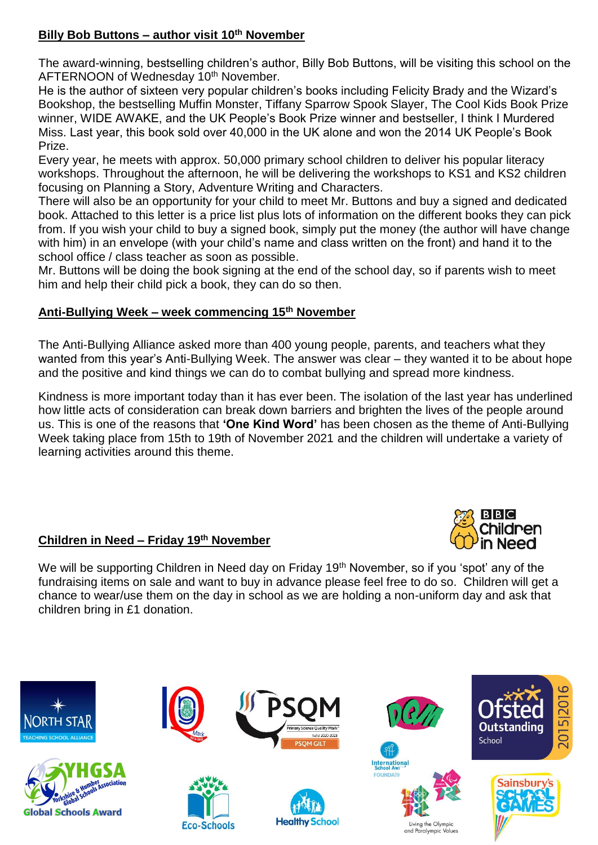# **Billy Bob Buttons – author visit 10th November**

The award-winning, bestselling children's author, Billy Bob Buttons, will be visiting this school on the AFTERNOON of Wednesday 10<sup>th</sup> November.

He is the author of sixteen very popular children's books including Felicity Brady and the Wizard's Bookshop, the bestselling Muffin Monster, Tiffany Sparrow Spook Slayer, The Cool Kids Book Prize winner, WIDE AWAKE, and the UK People's Book Prize winner and bestseller, I think I Murdered Miss. Last year, this book sold over 40,000 in the UK alone and won the 2014 UK People's Book Prize.

Every year, he meets with approx. 50,000 primary school children to deliver his popular literacy workshops. Throughout the afternoon, he will be delivering the workshops to KS1 and KS2 children focusing on Planning a Story, Adventure Writing and Characters.

There will also be an opportunity for your child to meet Mr. Buttons and buy a signed and dedicated book. Attached to this letter is a price list plus lots of information on the different books they can pick from. If you wish your child to buy a signed book, simply put the money (the author will have change with him) in an envelope (with your child's name and class written on the front) and hand it to the school office / class teacher as soon as possible.

Mr. Buttons will be doing the book signing at the end of the school day, so if parents wish to meet him and help their child pick a book, they can do so then.

# **Anti-Bullying Week – week commencing 15th November**

The Anti-Bullying Alliance asked more than 400 young people, parents, and teachers what they wanted from this year's Anti-Bullying Week. The answer was clear – they wanted it to be about hope and the positive and kind things we can do to combat bullying and spread more kindness.

Kindness is more important today than it has ever been. The isolation of the last year has underlined how little acts of consideration can break down barriers and brighten the lives of the people around us. This is one of the reasons that **'One Kind Word'** has been chosen as the theme of Anti-Bullying Week taking place from 15th to 19th of November 2021 and the children will undertake a variety of learning activities around this theme.

# **Children in Need – Friday 19 th November**



We will be supporting Children in Need day on Friday 19<sup>th</sup> November, so if you 'spot' any of the fundraising items on sale and want to buy in advance please feel free to do so. Children will get a chance to wear/use them on the day in school as we are holding a non-uniform day and ask that children bring in £1 donation.

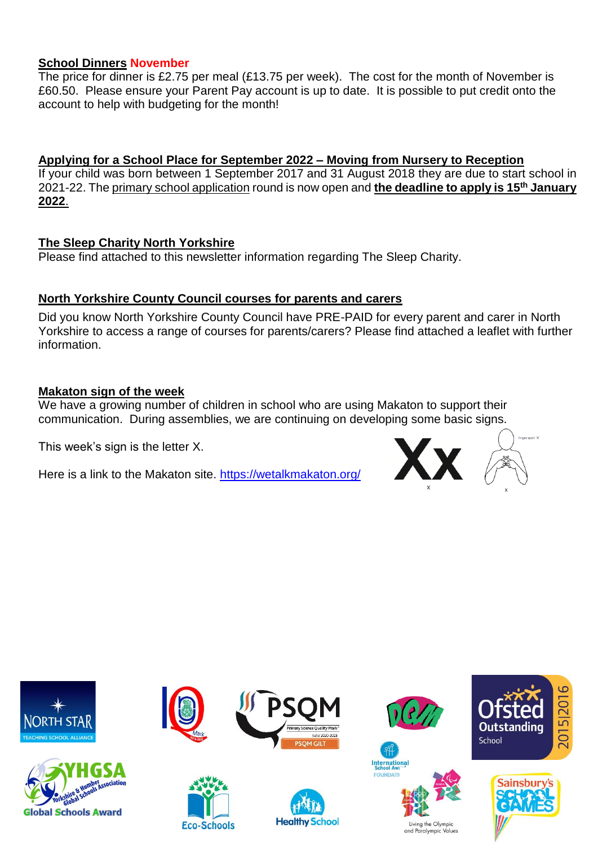### **School Dinners November**

The price for dinner is £2.75 per meal (£13.75 per week). The cost for the month of November is £60.50. Please ensure your Parent Pay account is up to date. It is possible to put credit onto the account to help with budgeting for the month!

**Applying for a School Place for September 2022 – Moving from Nursery to Reception**

If your child was born between 1 September 2017 and 31 August 2018 they are due to start school in 2021-22. Th[e primary school application](https://www.northyorks.gov.uk/applying-place-primary-school) round is now open and **the deadline to apply is 15th January 2022**.

### **The Sleep Charity North Yorkshire**

Please find attached to this newsletter information regarding The Sleep Charity.

## **North Yorkshire County Council courses for parents and carers**

Did you know North Yorkshire County Council have PRE-PAID for every parent and carer in North Yorkshire to access a range of courses for parents/carers? Please find attached a leaflet with further information.

### **Makaton sign of the week**

We have a growing number of children in school who are using Makaton to support their communication. During assemblies, we are continuing on developing some basic signs.

This week's sign is the letter X.

Here is a link to the Makaton site.<https://wetalkmakaton.org/>



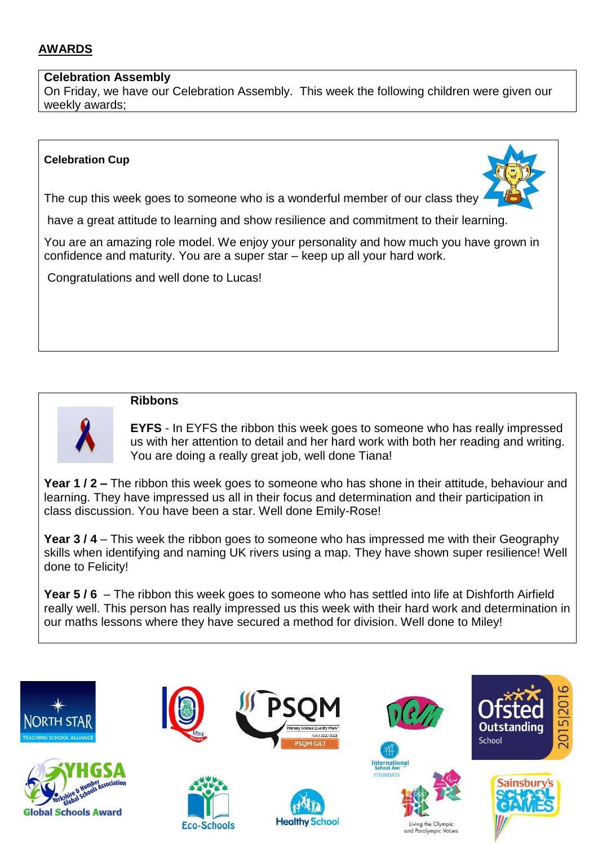# **AWARDS**

### **Celebration Assembly**

On Friday, we have our Celebration Assembly. This week the following children were given our weekly awards;

### **Celebration Cup**



The cup this week goes to someone who is a wonderful member of our class they

have a great attitude to learning and show resilience and commitment to their learning.

You are an amazing role model. We enjoy your personality and how much you have grown in confidence and maturity. You are a super star – keep up all your hard work.

Congratulations and well done to Lucas!



### **Ribbons**

**EYFS** - In EYFS the ribbon this week goes to someone who has really impressed us with her attention to detail and her hard work with both her reading and writing. You are doing a really great job, well done Tiana!

**Year 1 / 2 –** The ribbon this week goes to someone who has shone in their attitude, behaviour and learning. They have impressed us all in their focus and determination and their participation in class discussion. You have been a star. Well done Emily-Rose!

**Year 3 / 4** – This week the ribbon goes to someone who has impressed me with their Geography skills when identifying and naming UK rivers using a map. They have shown super resilience! Well done to Felicity!

**Year 5 / 6** – The ribbon this week goes to someone who has settled into life at Dishforth Airfield really well. This person has really impressed us this week with their hard work and determination in our maths lessons where they have secured a method for division. Well done to Miley!

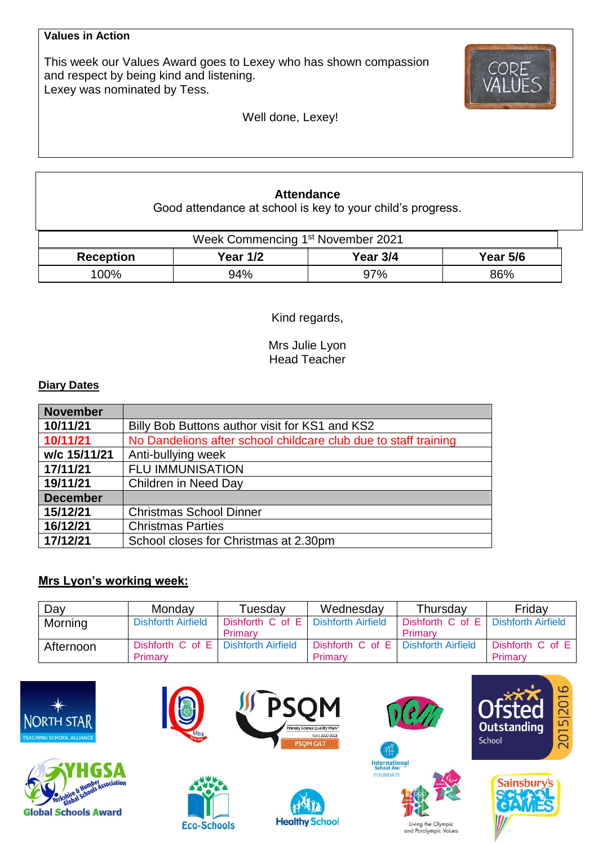#### **Values in Action**

This week our Values Award goes to Lexey who has shown compassion and respect by being kind and listening. Lexey was nominated by Tess.



Well done, Lexey!

### **Attendance**

Good attendance at school is key to your child's progress.

| Week Commencing 1 <sup>st</sup> November 2021 |                 |          |                 |  |  |  |
|-----------------------------------------------|-----------------|----------|-----------------|--|--|--|
| <b>Reception</b>                              | <b>Year 1/2</b> | Year 3/4 | <b>Year 5/6</b> |  |  |  |
| 100%                                          | 94%             | 97%      | 86%             |  |  |  |

Kind regards,

Mrs Julie Lyon Head Teacher

### **Diary Dates**

| <b>November</b> |                                                                 |
|-----------------|-----------------------------------------------------------------|
| 10/11/21        | Billy Bob Buttons author visit for KS1 and KS2                  |
| 10/11/21        | No Dandelions after school childcare club due to staff training |
| w/c 15/11/21    | Anti-bullying week                                              |
| 17/11/21        | <b>FLU IMMUNISATION</b>                                         |
| 19/11/21        | Children in Need Day                                            |
| <b>December</b> |                                                                 |
| 15/12/21        | <b>Christmas School Dinner</b>                                  |
| 16/12/21        | <b>Christmas Parties</b>                                        |
| 17/12/21        | School closes for Christmas at 2.30pm                           |

# **Mrs Lyon's working week:**

| Day       | Monday                              | Tuesdav              | Wednesday                           | Thursday                            | Friday           |
|-----------|-------------------------------------|----------------------|-------------------------------------|-------------------------------------|------------------|
| Morning   | <b>Dishforth Airfield</b>           | Dishforth $C$ of $E$ | <b>Dishforth Airfield</b>           | Dishforth C of E Dishforth Airfield |                  |
|           |                                     | Primary              |                                     | Primary                             |                  |
| Afternoon | Dishforth C of E Dishforth Airfield |                      | Dishforth C of E Dishforth Airfield |                                     | Dishforth C of E |
|           | Primary                             |                      | Primary                             |                                     | Primary          |